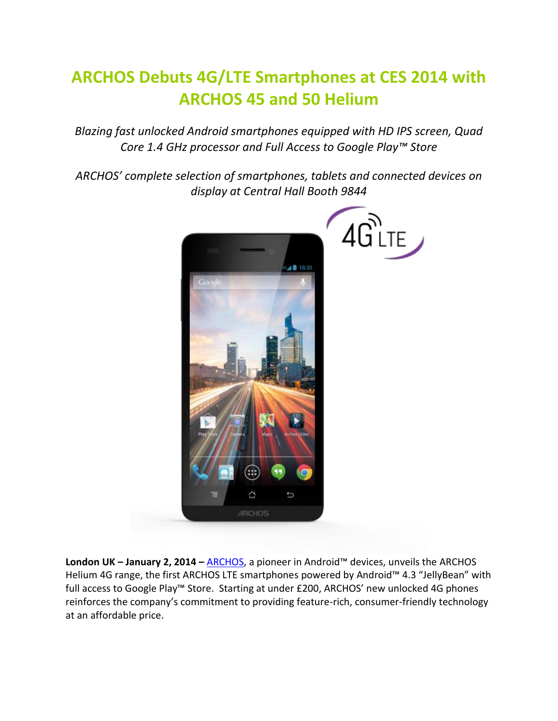## **ARCHOS Debuts 4G/LTE Smartphones at CES 2014 with ARCHOS 45 and 50 Helium**

*Blazing fast unlocked Android smartphones equipped with HD IPS screen, Quad Core 1.4 GHz processor and Full Access to Google Play™ Store*

*ARCHOS' complete selection of smartphones, tablets and connected devices on display at Central Hall Booth 9844*



**London UK – January 2, 2014 –** [ARCHOS](http://www.archos.com/), a pioneer in Android™ devices, unveils the ARCHOS Helium 4G range, the first ARCHOS LTE smartphones powered by Android™ 4.3 "JellyBean" with full access to Google Play™ Store. Starting at under £200, ARCHOS' new unlocked 4G phones reinforces the company's commitment to providing feature-rich, consumer-friendly technology at an affordable price.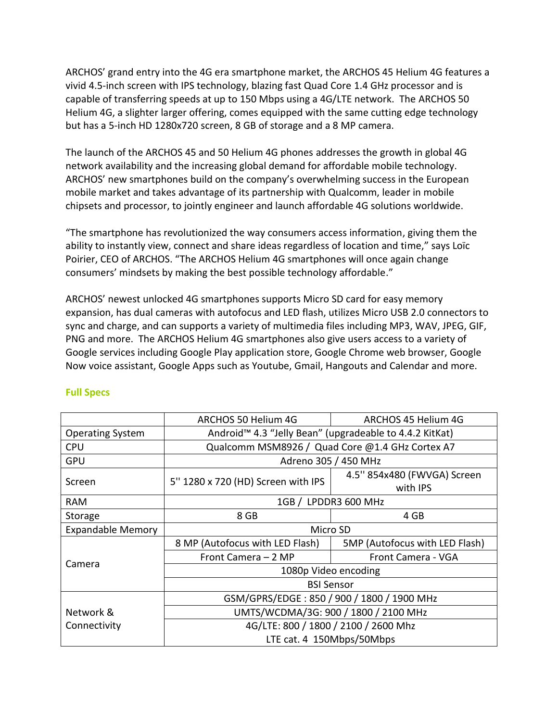ARCHOS' grand entry into the 4G era smartphone market, the ARCHOS 45 Helium 4G features a vivid 4.5-inch screen with IPS technology, blazing fast Quad Core 1.4 GHz processor and is capable of transferring speeds at up to 150 Mbps using a 4G/LTE network. The ARCHOS 50 Helium 4G, a slighter larger offering, comes equipped with the same cutting edge technology but has a 5-inch HD 1280x720 screen, 8 GB of storage and a 8 MP camera.

The launch of the ARCHOS 45 and 50 Helium 4G phones addresses the growth in global 4G network availability and the increasing global demand for affordable mobile technology. ARCHOS' new smartphones build on the company's overwhelming success in the European mobile market and takes advantage of its partnership with Qualcomm, leader in mobile chipsets and processor, to jointly engineer and launch affordable 4G solutions worldwide.

"The smartphone has revolutionized the way consumers access information, giving them the ability to instantly view, connect and share ideas regardless of location and time," says Loïc Poirier, CEO of ARCHOS. "The ARCHOS Helium 4G smartphones will once again change consumers' mindsets by making the best possible technology affordable."

ARCHOS' newest unlocked 4G smartphones supports Micro SD card for easy memory expansion, has dual cameras with autofocus and LED flash, utilizes Micro USB 2.0 connectors to sync and charge, and can supports a variety of multimedia files including MP3, WAV, JPEG, GIF, PNG and more. The ARCHOS Helium 4G smartphones also give users access to a variety of Google services including Google Play application store, Google Chrome web browser, Google Now voice assistant, Google Apps such as Youtube, Gmail, Hangouts and Calendar and more.

|                          | ARCHOS 50 Helium 4G                                                 | ARCHOS 45 Helium 4G            |  |
|--------------------------|---------------------------------------------------------------------|--------------------------------|--|
| <b>Operating System</b>  | Android <sup>™</sup> 4.3 "Jelly Bean" (upgradeable to 4.4.2 KitKat) |                                |  |
| <b>CPU</b>               | Qualcomm MSM8926 / Quad Core @1.4 GHz Cortex A7                     |                                |  |
| <b>GPU</b>               | Adreno 305 / 450 MHz                                                |                                |  |
| Screen                   | 5" 1280 x 720 (HD) Screen with IPS                                  | 4.5" 854x480 (FWVGA) Screen    |  |
|                          |                                                                     | with IPS                       |  |
| <b>RAM</b>               | 1GB / LPDDR3 600 MHz                                                |                                |  |
| Storage                  | 8 GB                                                                | 4 GB                           |  |
| <b>Expandable Memory</b> | Micro SD                                                            |                                |  |
|                          | 8 MP (Autofocus with LED Flash)                                     | 5MP (Autofocus with LED Flash) |  |
|                          | Front Camera - 2 MP                                                 | Front Camera - VGA             |  |
| Camera                   | 1080p Video encoding                                                |                                |  |
|                          | <b>BSI Sensor</b>                                                   |                                |  |
|                          | GSM/GPRS/EDGE: 850 / 900 / 1800 / 1900 MHz                          |                                |  |
| Network &                | UMTS/WCDMA/3G: 900 / 1800 / 2100 MHz                                |                                |  |
| Connectivity             | 4G/LTE: 800 / 1800 / 2100 / 2600 Mhz                                |                                |  |
|                          | LTE cat. 4 150Mbps/50Mbps                                           |                                |  |

## **Full Specs**